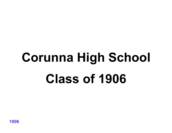# Corunna High School Class of 1906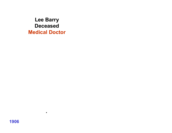Lee Barry Deceased Medical Doctor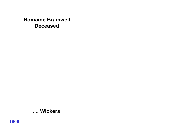#### **Romaine Bramwell Deceased**

#### .... Wickers

1906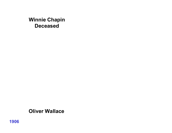#### Winnie Chapin Deceased

#### Oliver Wallace

1906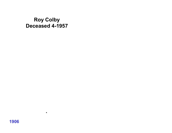#### Roy Colby Deceased 4-1957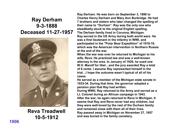### Ray Derham 9-3-1888 Deceased 11-27-1957



Reva Treadwell 10-5-1912

Ray Derham. He was born on September 3, 1888 to Charles Henry Derham and Mary Ann Burbridge. He had 7 brothers and sisters who later changed the spelling of their name to "Durham". Ray was the only one who steadfastly stuck to the original English spelling. The Derham family lived in Corunna, Michigan. Ray served in the US Army during both world wars. He was a first lieutenant in the infantry in WWI, and participated in the "Polar Bear Expedition" of 1918-19, which was the American intervention in Northern Russia at the end of the war.

When the war was over he returned to Michigan to his wife, Reva. He practiced law and was a well-known attorney in the area. In January of 1929, he sued one W.H. Marolf for libel…and the jury awarded Ray a total of 6 cents. I assume Ray represented himself in the trial…I hope the outcome wasn't typical of all of his cases.

He served as a member of the Michigan state senate in 1933-34. During that time, the governor adopted a pension plan that Ray had written.

During WWII, Ray returned to the Army and served as a Lt. Colonel during an African campaign in 1943. After the war, he again returned to Reva in Michigan. It seems that Ray and Reva never had any children, but they were well-loved by the rest of the Durham family and remained close with them all of their lives. Ray passed away in Michigan on November 27, 1957 and was buried in the family cemetery.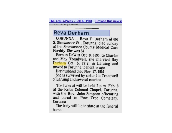#### The Argus-Press - Feb 6, 1978 Browse this newsp

#### **Reva Derham**

<u>- Local Contract of the modern of a</u>

CORUNNA - Reva T Derham of 606 S. Shiawassee St., Corunna, died Sunday at the Shiawassee County Medical Care Facility She was 84

Born in DeWitt Oct 9. 1893. to Charles and May Treadwell, she married Ray Durham Oct 5. 1912. in Lansing and moved to Corunna 15 months ago

Her husband died Nov 27, 1957

She is survived by sister Ila Treadwell of Lansing and several cousins.

The funeral will be held 2 p.m Feb. 8 at the Kribs Colonial Chapel. Corunna. with the Rev. John Simpson officiating and burial in Pine Tree Cemetery. Corunna

The body will lie in state at the funeral home.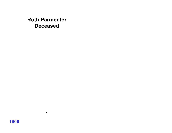#### Ruth Parmenter Deceased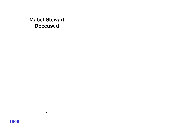Mabel Stewart Deceased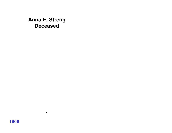Anna E. Streng Deceased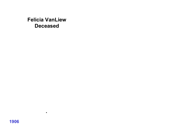#### Felicia VanLiew Deceased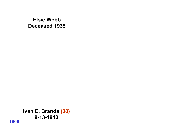#### Elsie Webb Deceased 1935

Ivan E. Brands (08) 9-13-1913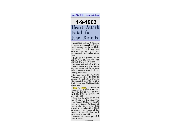- Jan 12, 1963 Browse this nev

#### 1-9-1963 Heart Attack **Fatal** for **Ivan Brands**

CORUNNA -Ivan E. Brands, a former mechanical and clectrical engineer for the old Michigan Sugar Co. in Owosso, was dead on arrival at Memorial Hospital Wednesday afternoon

Death of Mr. Brands, 74, of 317 E. State St., Corunna, was attributed to a heart attack.

Services will be held at Kribs Funeral Home at 3 p.m. Saturday and burial will be at Pine Tree Cemetery with Park H. Netting officiating

He was born in Caledonia Township on Sept 28, 1888, to George O. and Abbie Brands. He graduated from Corunna High School and Michigan State University.

Elsie W Webb, to whom he was married in Owosso on Sept. 13, 1913, died in 1955. He married Ida Petri in Corunna on Jan. 14, 1957.

Surviving in addition to his second wife are: two daughters, Mrs. Robert Horton of Owosso and Mrs. Forest Benjamin of Webberville; three sons, Ivan Russell of Columbus, Ohio, Floyd of Owoss<sub>o</sub> and Howard of Corunna; 14 grandchildren and four great grandchildren. Another son, Owen, preceded him in death.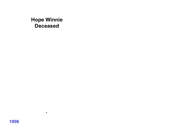#### Hope Winnie Deceased